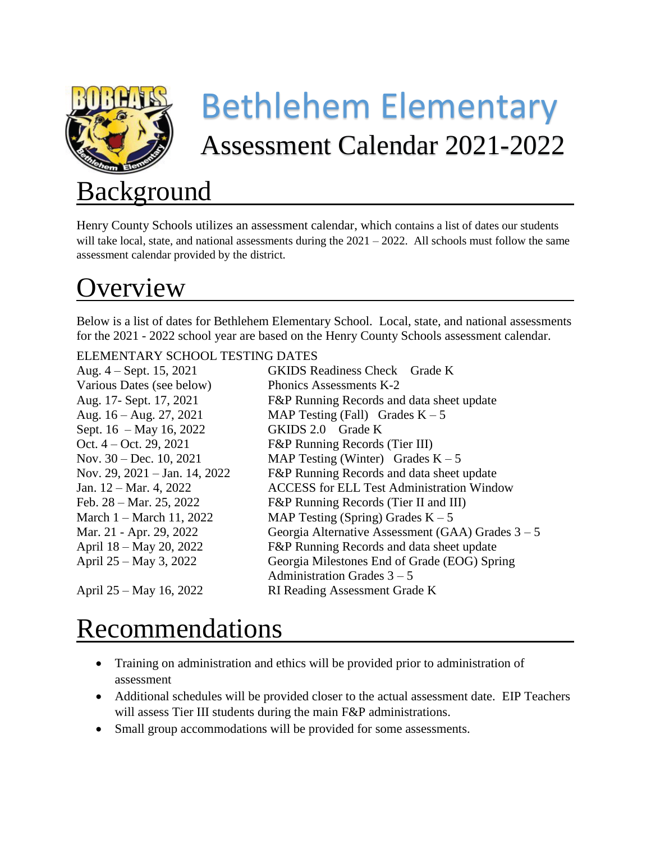

# Bethlehem Elementary Assessment Calendar 2021-2022

# **Background**

Henry County Schools utilizes an assessment calendar, which contains a list of dates our students will take local, state, and national assessments during the  $2021 - 2022$ . All schools must follow the same assessment calendar provided by the district.

# verview

Below is a list of dates for Bethlehem Elementary School. Local, state, and national assessments for the 2021 - 2022 school year are based on the Henry County Schools assessment calendar.

#### ELEMENTARY SCHOOL TESTING DATES

| Aug. $4 -$ Sept. 15, 2021                  | <b>GKIDS Readiness Check Grade K</b>                |
|--------------------------------------------|-----------------------------------------------------|
| Various Dates (see below)                  | Phonics Assessments K-2                             |
| Aug. 17- Sept. 17, 2021                    | F&P Running Records and data sheet update           |
| Aug. $16 - Aug. 27, 2021$                  | MAP Testing (Fall) Grades $K - 5$                   |
| Sept. $16 - May 16, 2022$                  | GKIDS 2.0 Grade K                                   |
| Oct. $4 - Oct. 29, 2021$                   | F&P Running Records (Tier III)                      |
| Nov. $30 - Dec. 10, 2021$                  | MAP Testing (Winter) Grades $K - 5$                 |
| Nov. 29, $2021 - \text{Jan. } 14$ , $2022$ | F&P Running Records and data sheet update           |
| Jan. $12 - \text{Mar. } 4$ , 2022          | <b>ACCESS</b> for ELL Test Administration Window    |
| Feb. $28 - \text{Mar. } 25, 2022$          | F&P Running Records (Tier II and III)               |
| March $1 - \text{March } 11, 2022$         | MAP Testing (Spring) Grades $K - 5$                 |
| Mar. 21 - Apr. 29, 2022                    | Georgia Alternative Assessment (GAA) Grades $3 - 5$ |
| April 18 – May 20, 2022                    | F&P Running Records and data sheet update           |
| April 25 – May 3, 2022                     | Georgia Milestones End of Grade (EOG) Spring        |
|                                            | Administration Grades $3 - 5$                       |
| April 25 – May 16, 2022                    | <b>RI Reading Assessment Grade K</b>                |

### Recommendations

- Training on administration and ethics will be provided prior to administration of assessment
- Additional schedules will be provided closer to the actual assessment date. EIP Teachers will assess Tier III students during the main F&P administrations.
- Small group accommodations will be provided for some assessments.